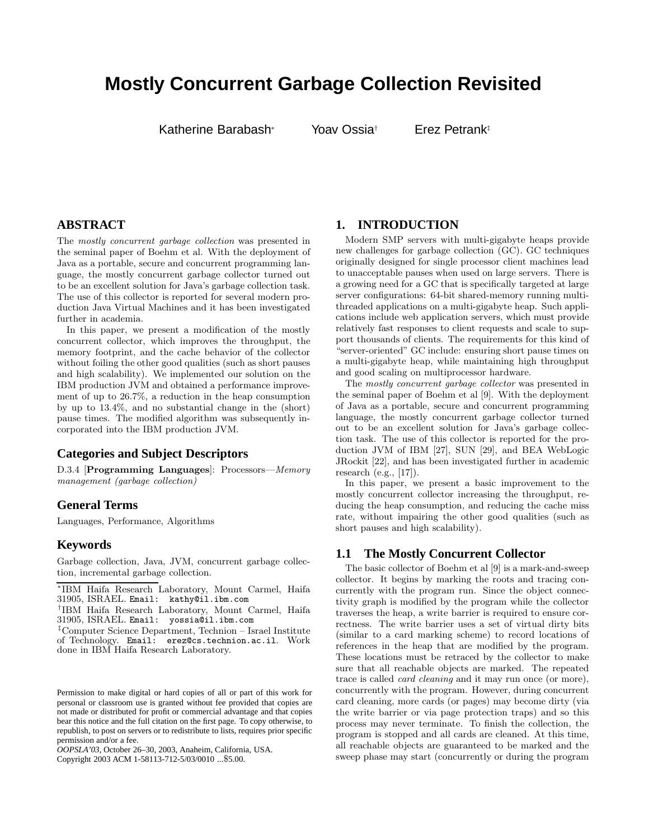# **Mostly Concurrent Garbage Collection Revisited**

Katherine Barabash<sup>∗</sup> Yoav Ossia† Erez Petrank‡

# **ABSTRACT**

The *mostly concurrent garbage collection* was presented in the seminal paper of Boehm et al. With the deployment of Java as a portable, secure and concurrent programming language, the mostly concurrent garbage collector turned out to be an excellent solution for Java's garbage collection task. The use of this collector is reported for several modern production Java Virtual Machines and it has been investigated further in academia.

In this paper, we present a modification of the mostly concurrent collector, which improves the throughput, the memory footprint, and the cache behavior of the collector without foiling the other good qualities (such as short pauses and high scalability). We implemented our solution on the IBM production JVM and obtained a performance improvement of up to 26.7%, a reduction in the heap consumption by up to 13.4%, and no substantial change in the (short) pause times. The modified algorithm was subsequently incorporated into the IBM production JVM.

# **Categories and Subject Descriptors**

D.3.4 [**Programming Languages**]: Processors—*Memory management (garbage collection)*

# **General Terms**

Languages, Performance, Algorithms

# **Keywords**

Garbage collection, Java, JVM, concurrent garbage collection, incremental garbage collection.

<sup>∗</sup>IBM Haifa Research Laboratory, Mount Carmel, Haifa 31905, ISRAEL. Email: kathy@il.ibm.com

†IBM Haifa Research Laboratory, Mount Carmel, Haifa 31905, ISRAEL. Email: yossia@il.ibm.com

‡Computer Science Department, Technion – Israel Institute of Technology. Email: erez@cs.technion.ac.il. Work done in IBM Haifa Research Laboratory.

*OOPSLA'03,* October 26–30, 2003, Anaheim, California, USA.

Copyright 2003 ACM 1-58113-712-5/03/0010 ...\$5.00.

# **1. INTRODUCTION**

Modern SMP servers with multi-gigabyte heaps provide new challenges for garbage collection (GC). GC techniques originally designed for single processor client machines lead to unacceptable pauses when used on large servers. There is a growing need for a GC that is specifically targeted at large server configurations: 64-bit shared-memory running multithreaded applications on a multi-gigabyte heap. Such applications include web application servers, which must provide relatively fast responses to client requests and scale to support thousands of clients. The requirements for this kind of "server-oriented" GC include: ensuring short pause times on a multi-gigabyte heap, while maintaining high throughput and good scaling on multiprocessor hardware.

The *mostly concurrent garbage collector* was presented in the seminal paper of Boehm et al [9]. With the deployment of Java as a portable, secure and concurrent programming language, the mostly concurrent garbage collector turned out to be an excellent solution for Java's garbage collection task. The use of this collector is reported for the production JVM of IBM [27], SUN [29], and BEA WebLogic JRockit [22], and has been investigated further in academic research (e.g., [17]).

In this paper, we present a basic improvement to the mostly concurrent collector increasing the throughput, reducing the heap consumption, and reducing the cache miss rate, without impairing the other good qualities (such as short pauses and high scalability).

# **1.1 The Mostly Concurrent Collector**

The basic collector of Boehm et al [9] is a mark-and-sweep collector. It begins by marking the roots and tracing concurrently with the program run. Since the object connectivity graph is modified by the program while the collector traverses the heap, a write barrier is required to ensure correctness. The write barrier uses a set of virtual dirty bits (similar to a card marking scheme) to record locations of references in the heap that are modified by the program. These locations must be retraced by the collector to make sure that all reachable objects are marked. The repeated trace is called *card cleaning* and it may run once (or more), concurrently with the program. However, during concurrent card cleaning, more cards (or pages) may become dirty (via the write barrier or via page protection traps) and so this process may never terminate. To finish the collection, the program is stopped and all cards are cleaned. At this time, all reachable objects are guaranteed to be marked and the sweep phase may start (concurrently or during the program

Permission to make digital or hard copies of all or part of this work for personal or classroom use is granted without fee provided that copies are not made or distributed for profit or commercial advantage and that copies bear this notice and the full citation on the first page. To copy otherwise, to republish, to post on servers or to redistribute to lists, requires prior specific permission and/or a fee.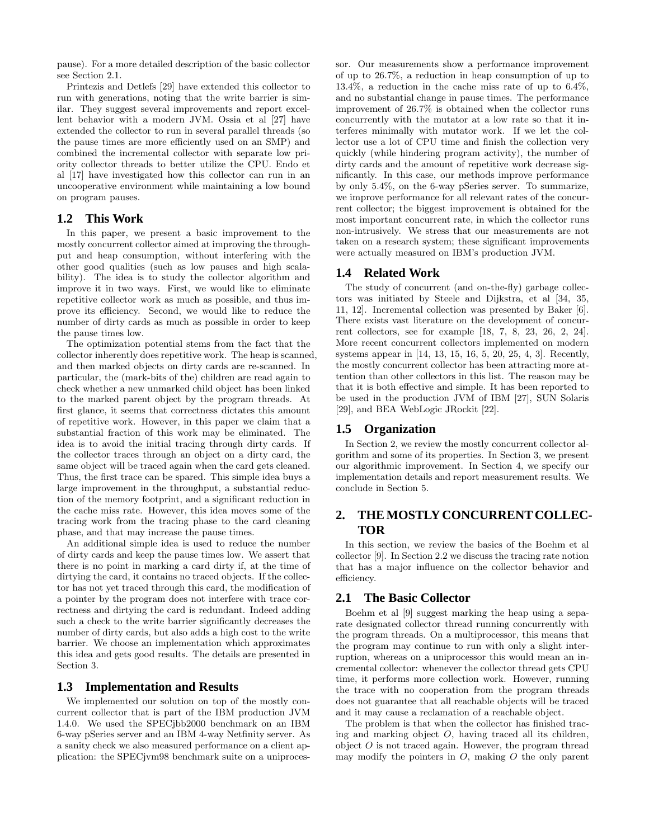pause). For a more detailed description of the basic collector see Section 2.1.

Printezis and Detlefs [29] have extended this collector to run with generations, noting that the write barrier is similar. They suggest several improvements and report excellent behavior with a modern JVM. Ossia et al [27] have extended the collector to run in several parallel threads (so the pause times are more efficiently used on an SMP) and combined the incremental collector with separate low priority collector threads to better utilize the CPU. Endo et al [17] have investigated how this collector can run in an uncooperative environment while maintaining a low bound on program pauses.

# **1.2 This Work**

In this paper, we present a basic improvement to the mostly concurrent collector aimed at improving the throughput and heap consumption, without interfering with the other good qualities (such as low pauses and high scalability). The idea is to study the collector algorithm and improve it in two ways. First, we would like to eliminate repetitive collector work as much as possible, and thus improve its efficiency. Second, we would like to reduce the number of dirty cards as much as possible in order to keep the pause times low.

The optimization potential stems from the fact that the collector inherently does repetitive work. The heap is scanned, and then marked objects on dirty cards are re-scanned. In particular, the (mark-bits of the) children are read again to check whether a new unmarked child object has been linked to the marked parent object by the program threads. At first glance, it seems that correctness dictates this amount of repetitive work. However, in this paper we claim that a substantial fraction of this work may be eliminated. The idea is to avoid the initial tracing through dirty cards. If the collector traces through an object on a dirty card, the same object will be traced again when the card gets cleaned. Thus, the first trace can be spared. This simple idea buys a large improvement in the throughput, a substantial reduction of the memory footprint, and a significant reduction in the cache miss rate. However, this idea moves some of the tracing work from the tracing phase to the card cleaning phase, and that may increase the pause times.

An additional simple idea is used to reduce the number of dirty cards and keep the pause times low. We assert that there is no point in marking a card dirty if, at the time of dirtying the card, it contains no traced objects. If the collector has not yet traced through this card, the modification of a pointer by the program does not interfere with trace correctness and dirtying the card is redundant. Indeed adding such a check to the write barrier significantly decreases the number of dirty cards, but also adds a high cost to the write barrier. We choose an implementation which approximates this idea and gets good results. The details are presented in Section 3.

# **1.3 Implementation and Results**

We implemented our solution on top of the mostly concurrent collector that is part of the IBM production JVM 1.4.0. We used the SPECjbb2000 benchmark on an IBM 6-way pSeries server and an IBM 4-way Netfinity server. As a sanity check we also measured performance on a client application: the SPECjvm98 benchmark suite on a uniprocessor. Our measurements show a performance improvement of up to 26.7%, a reduction in heap consumption of up to 13.4%, a reduction in the cache miss rate of up to 6.4%, and no substantial change in pause times. The performance improvement of 26.7% is obtained when the collector runs concurrently with the mutator at a low rate so that it interferes minimally with mutator work. If we let the collector use a lot of CPU time and finish the collection very quickly (while hindering program activity), the number of dirty cards and the amount of repetitive work decrease significantly. In this case, our methods improve performance by only 5.4%, on the 6-way pSeries server. To summarize, we improve performance for all relevant rates of the concurrent collector; the biggest improvement is obtained for the most important concurrent rate, in which the collector runs non-intrusively. We stress that our measurements are not taken on a research system; these significant improvements were actually measured on IBM's production JVM.

# **1.4 Related Work**

The study of concurrent (and on-the-fly) garbage collectors was initiated by Steele and Dijkstra, et al [34, 35, 11, 12]. Incremental collection was presented by Baker [6]. There exists vast literature on the development of concurrent collectors, see for example [18, 7, 8, 23, 26, 2, 24]. More recent concurrent collectors implemented on modern systems appear in [14, 13, 15, 16, 5, 20, 25, 4, 3]. Recently, the mostly concurrent collector has been attracting more attention than other collectors in this list. The reason may be that it is both effective and simple. It has been reported to be used in the production JVM of IBM [27], SUN Solaris [29], and BEA WebLogic JRockit [22].

# **1.5 Organization**

In Section 2, we review the mostly concurrent collector algorithm and some of its properties. In Section 3, we present our algorithmic improvement. In Section 4, we specify our implementation details and report measurement results. We conclude in Section 5.

# **2. THEMOSTLY CONCURRENT COLLEC-TOR**

In this section, we review the basics of the Boehm et al collector [9]. In Section 2.2 we discuss the tracing rate notion that has a major influence on the collector behavior and efficiency.

# **2.1 The Basic Collector**

Boehm et al [9] suggest marking the heap using a separate designated collector thread running concurrently with the program threads. On a multiprocessor, this means that the program may continue to run with only a slight interruption, whereas on a uniprocessor this would mean an incremental collector: whenever the collector thread gets CPU time, it performs more collection work. However, running the trace with no cooperation from the program threads does not guarantee that all reachable objects will be traced and it may cause a reclamation of a reachable object.

The problem is that when the collector has finished tracing and marking object *O*, having traced all its children, object *O* is not traced again. However, the program thread may modify the pointers in *O*, making *O* the only parent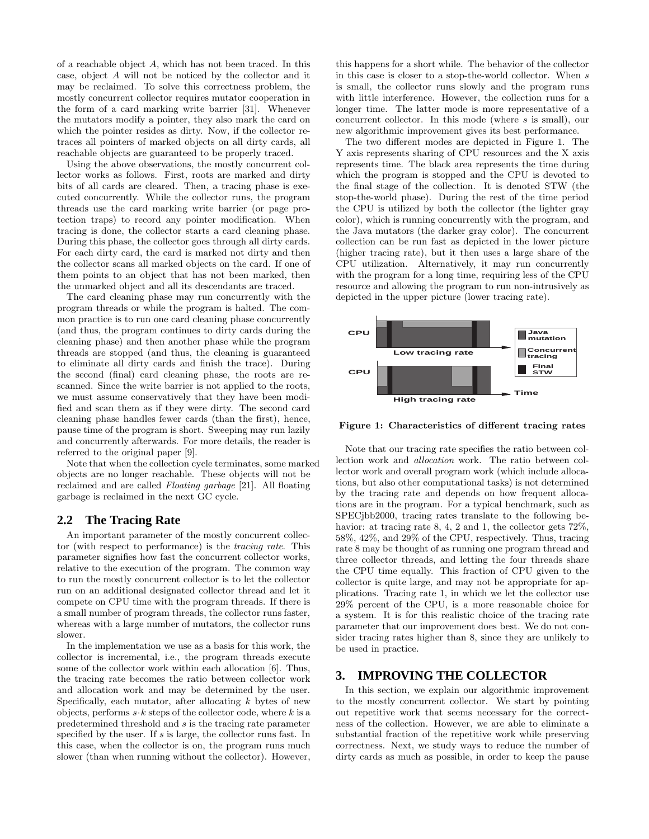of a reachable object *A*, which has not been traced. In this case, object *A* will not be noticed by the collector and it may be reclaimed. To solve this correctness problem, the mostly concurrent collector requires mutator cooperation in the form of a card marking write barrier [31]. Whenever the mutators modify a pointer, they also mark the card on which the pointer resides as dirty. Now, if the collector retraces all pointers of marked objects on all dirty cards, all reachable objects are guaranteed to be properly traced.

Using the above observations, the mostly concurrent collector works as follows. First, roots are marked and dirty bits of all cards are cleared. Then, a tracing phase is executed concurrently. While the collector runs, the program threads use the card marking write barrier (or page protection traps) to record any pointer modification. When tracing is done, the collector starts a card cleaning phase. During this phase, the collector goes through all dirty cards. For each dirty card, the card is marked not dirty and then the collector scans all marked objects on the card. If one of them points to an object that has not been marked, then the unmarked object and all its descendants are traced.

The card cleaning phase may run concurrently with the program threads or while the program is halted. The common practice is to run one card cleaning phase concurrently (and thus, the program continues to dirty cards during the cleaning phase) and then another phase while the program threads are stopped (and thus, the cleaning is guaranteed to eliminate all dirty cards and finish the trace). During the second (final) card cleaning phase, the roots are rescanned. Since the write barrier is not applied to the roots, we must assume conservatively that they have been modified and scan them as if they were dirty. The second card cleaning phase handles fewer cards (than the first), hence, pause time of the program is short. Sweeping may run lazily and concurrently afterwards. For more details, the reader is referred to the original paper [9].

Note that when the collection cycle terminates, some marked objects are no longer reachable. These objects will not be reclaimed and are called *Floating garbage* [21]. All floating garbage is reclaimed in the next GC cycle.

#### **2.2 The Tracing Rate**

An important parameter of the mostly concurrent collector (with respect to performance) is the *tracing rate*. This parameter signifies how fast the concurrent collector works, relative to the execution of the program. The common way to run the mostly concurrent collector is to let the collector run on an additional designated collector thread and let it compete on CPU time with the program threads. If there is a small number of program threads, the collector runs faster, whereas with a large number of mutators, the collector runs slower.

In the implementation we use as a basis for this work, the collector is incremental, i.e., the program threads execute some of the collector work within each allocation [6]. Thus, the tracing rate becomes the ratio between collector work and allocation work and may be determined by the user. Specifically, each mutator, after allocating *k* bytes of new objects, performs  $s \cdot k$  steps of the collector code, where  $k$  is a predetermined threshold and *s* is the tracing rate parameter specified by the user. If *s* is large, the collector runs fast. In this case, when the collector is on, the program runs much slower (than when running without the collector). However,

this happens for a short while. The behavior of the collector in this case is closer to a stop-the-world collector. When *s* is small, the collector runs slowly and the program runs with little interference. However, the collection runs for a longer time. The latter mode is more representative of a concurrent collector. In this mode (where *s* is small), our new algorithmic improvement gives its best performance.

The two different modes are depicted in Figure 1. The Y axis represents sharing of CPU resources and the X axis represents time. The black area represents the time during which the program is stopped and the CPU is devoted to the final stage of the collection. It is denoted STW (the stop-the-world phase). During the rest of the time period the CPU is utilized by both the collector (the lighter gray color), which is running concurrently with the program, and the Java mutators (the darker gray color). The concurrent collection can be run fast as depicted in the lower picture (higher tracing rate), but it then uses a large share of the CPU utilization. Alternatively, it may run concurrently with the program for a long time, requiring less of the CPU resource and allowing the program to run non-intrusively as depicted in the upper picture (lower tracing rate).



**Figure 1: Characteristics of different tracing rates**

Note that our tracing rate specifies the ratio between collection work and *allocation* work. The ratio between collector work and overall program work (which include allocations, but also other computational tasks) is not determined by the tracing rate and depends on how frequent allocations are in the program. For a typical benchmark, such as SPECjbb2000, tracing rates translate to the following behavior: at tracing rate 8, 4, 2 and 1, the collector gets  $72\%$ , 58%, 42%, and 29% of the CPU, respectively. Thus, tracing rate 8 may be thought of as running one program thread and three collector threads, and letting the four threads share the CPU time equally. This fraction of CPU given to the collector is quite large, and may not be appropriate for applications. Tracing rate 1, in which we let the collector use 29% percent of the CPU, is a more reasonable choice for a system. It is for this realistic choice of the tracing rate parameter that our improvement does best. We do not consider tracing rates higher than 8, since they are unlikely to be used in practice.

# **3. IMPROVING THE COLLECTOR**

In this section, we explain our algorithmic improvement to the mostly concurrent collector. We start by pointing out repetitive work that seems necessary for the correctness of the collection. However, we are able to eliminate a substantial fraction of the repetitive work while preserving correctness. Next, we study ways to reduce the number of dirty cards as much as possible, in order to keep the pause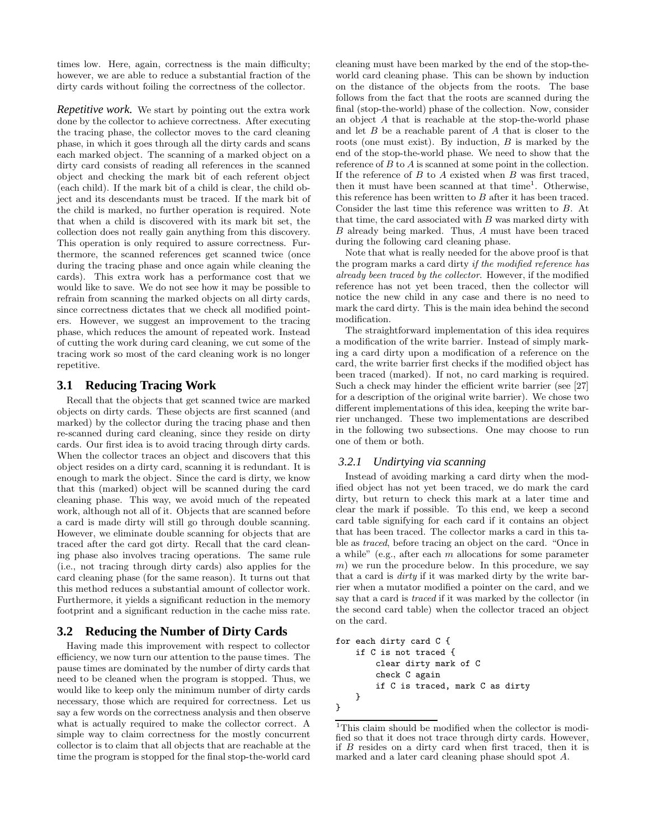times low. Here, again, correctness is the main difficulty; however, we are able to reduce a substantial fraction of the dirty cards without foiling the correctness of the collector.

*Repetitive work.* We start by pointing out the extra work done by the collector to achieve correctness. After executing the tracing phase, the collector moves to the card cleaning phase, in which it goes through all the dirty cards and scans each marked object. The scanning of a marked object on a dirty card consists of reading all references in the scanned object and checking the mark bit of each referent object (each child). If the mark bit of a child is clear, the child object and its descendants must be traced. If the mark bit of the child is marked, no further operation is required. Note that when a child is discovered with its mark bit set, the collection does not really gain anything from this discovery. This operation is only required to assure correctness. Furthermore, the scanned references get scanned twice (once during the tracing phase and once again while cleaning the cards). This extra work has a performance cost that we would like to save. We do not see how it may be possible to refrain from scanning the marked objects on all dirty cards, since correctness dictates that we check all modified pointers. However, we suggest an improvement to the tracing phase, which reduces the amount of repeated work. Instead of cutting the work during card cleaning, we cut some of the tracing work so most of the card cleaning work is no longer repetitive.

# **3.1 Reducing Tracing Work**

Recall that the objects that get scanned twice are marked objects on dirty cards. These objects are first scanned (and marked) by the collector during the tracing phase and then re-scanned during card cleaning, since they reside on dirty cards. Our first idea is to avoid tracing through dirty cards. When the collector traces an object and discovers that this object resides on a dirty card, scanning it is redundant. It is enough to mark the object. Since the card is dirty, we know that this (marked) object will be scanned during the card cleaning phase. This way, we avoid much of the repeated work, although not all of it. Objects that are scanned before a card is made dirty will still go through double scanning. However, we eliminate double scanning for objects that are traced after the card got dirty. Recall that the card cleaning phase also involves tracing operations. The same rule (i.e., not tracing through dirty cards) also applies for the card cleaning phase (for the same reason). It turns out that this method reduces a substantial amount of collector work. Furthermore, it yields a significant reduction in the memory footprint and a significant reduction in the cache miss rate.

# **3.2 Reducing the Number of Dirty Cards**

Having made this improvement with respect to collector efficiency, we now turn our attention to the pause times. The pause times are dominated by the number of dirty cards that need to be cleaned when the program is stopped. Thus, we would like to keep only the minimum number of dirty cards necessary, those which are required for correctness. Let us say a few words on the correctness analysis and then observe what is actually required to make the collector correct. A simple way to claim correctness for the mostly concurrent collector is to claim that all objects that are reachable at the time the program is stopped for the final stop-the-world card

cleaning must have been marked by the end of the stop-theworld card cleaning phase. This can be shown by induction on the distance of the objects from the roots. The base follows from the fact that the roots are scanned during the final (stop-the-world) phase of the collection. Now, consider an object *A* that is reachable at the stop-the-world phase and let *B* be a reachable parent of *A* that is closer to the roots (one must exist). By induction, *B* is marked by the end of the stop-the-world phase. We need to show that the reference of *B* to *A* is scanned at some point in the collection. If the reference of *B* to *A* existed when *B* was first traced, then it must have been scanned at that  $time<sup>1</sup>$ . Otherwise, this reference has been written to *B* after it has been traced. Consider the last time this reference was written to *B*. At that time, the card associated with *B* was marked dirty with *B* already being marked. Thus, *A* must have been traced during the following card cleaning phase.

Note that what is really needed for the above proof is that the program marks a card dirty *if the modified reference has already been traced by the collector*. However, if the modified reference has not yet been traced, then the collector will notice the new child in any case and there is no need to mark the card dirty. This is the main idea behind the second modification.

The straightforward implementation of this idea requires a modification of the write barrier. Instead of simply marking a card dirty upon a modification of a reference on the card, the write barrier first checks if the modified object has been traced (marked). If not, no card marking is required. Such a check may hinder the efficient write barrier (see [27] for a description of the original write barrier). We chose two different implementations of this idea, keeping the write barrier unchanged. These two implementations are described in the following two subsections. One may choose to run one of them or both.

#### *3.2.1 Undirtying via scanning*

Instead of avoiding marking a card dirty when the modified object has not yet been traced, we do mark the card dirty, but return to check this mark at a later time and clear the mark if possible. To this end, we keep a second card table signifying for each card if it contains an object that has been traced. The collector marks a card in this table as *traced*, before tracing an object on the card. "Once in a while" (e.g., after each *m* allocations for some parameter *m*) we run the procedure below. In this procedure, we say that a card is *dirty* if it was marked dirty by the write barrier when a mutator modified a pointer on the card, and we say that a card is *traced* if it was marked by the collector (in the second card table) when the collector traced an object on the card.

```
for each dirty card C {
    if C is not traced {
        clear dirty mark of C
        check C again
        if C is traced, mark C as dirty
    }
}
```
<sup>&</sup>lt;sup>1</sup>This claim should be modified when the collector is modified so that it does not trace through dirty cards. However, if *B* resides on a dirty card when first traced, then it is marked and a later card cleaning phase should spot *A*.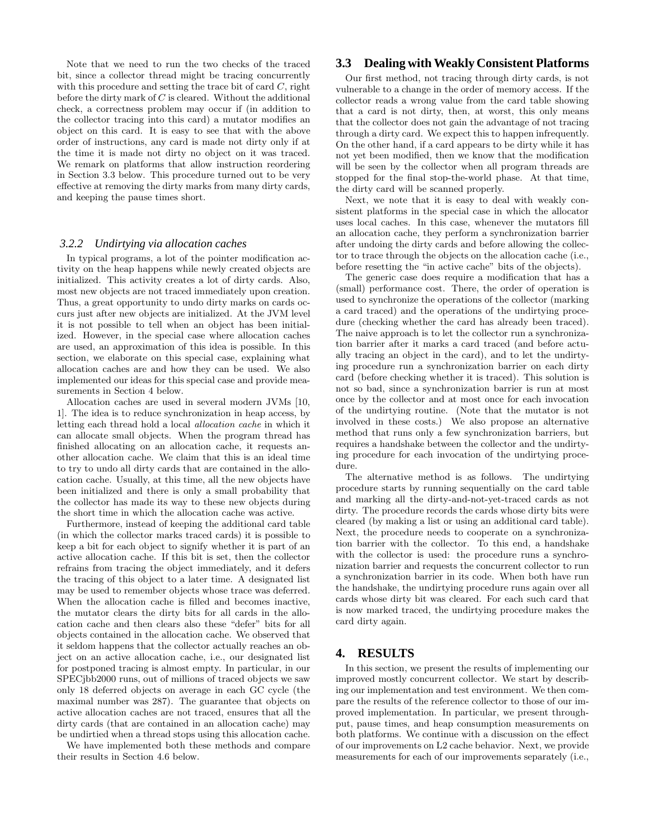Note that we need to run the two checks of the traced bit, since a collector thread might be tracing concurrently with this procedure and setting the trace bit of card *C*, right before the dirty mark of *C* is cleared. Without the additional check, a correctness problem may occur if (in addition to the collector tracing into this card) a mutator modifies an object on this card. It is easy to see that with the above order of instructions, any card is made not dirty only if at the time it is made not dirty no object on it was traced. We remark on platforms that allow instruction reordering in Section 3.3 below. This procedure turned out to be very effective at removing the dirty marks from many dirty cards, and keeping the pause times short.

#### *3.2.2 Undirtying via allocation caches*

In typical programs, a lot of the pointer modification activity on the heap happens while newly created objects are initialized. This activity creates a lot of dirty cards. Also, most new objects are not traced immediately upon creation. Thus, a great opportunity to undo dirty marks on cards occurs just after new objects are initialized. At the JVM level it is not possible to tell when an object has been initialized. However, in the special case where allocation caches are used, an approximation of this idea is possible. In this section, we elaborate on this special case, explaining what allocation caches are and how they can be used. We also implemented our ideas for this special case and provide measurements in Section 4 below.

Allocation caches are used in several modern JVMs [10, 1]. The idea is to reduce synchronization in heap access, by letting each thread hold a local *allocation cache* in which it can allocate small objects. When the program thread has finished allocating on an allocation cache, it requests another allocation cache. We claim that this is an ideal time to try to undo all dirty cards that are contained in the allocation cache. Usually, at this time, all the new objects have been initialized and there is only a small probability that the collector has made its way to these new objects during the short time in which the allocation cache was active.

Furthermore, instead of keeping the additional card table (in which the collector marks traced cards) it is possible to keep a bit for each object to signify whether it is part of an active allocation cache. If this bit is set, then the collector refrains from tracing the object immediately, and it defers the tracing of this object to a later time. A designated list may be used to remember objects whose trace was deferred. When the allocation cache is filled and becomes inactive, the mutator clears the dirty bits for all cards in the allocation cache and then clears also these "defer" bits for all objects contained in the allocation cache. We observed that it seldom happens that the collector actually reaches an object on an active allocation cache, i.e., our designated list for postponed tracing is almost empty. In particular, in our SPECjbb2000 runs, out of millions of traced objects we saw only 18 deferred objects on average in each GC cycle (the maximal number was 287). The guarantee that objects on active allocation caches are not traced, ensures that all the dirty cards (that are contained in an allocation cache) may be undirtied when a thread stops using this allocation cache.

We have implemented both these methods and compare their results in Section 4.6 below.

# **3.3 Dealing with Weakly Consistent Platforms**

Our first method, not tracing through dirty cards, is not vulnerable to a change in the order of memory access. If the collector reads a wrong value from the card table showing that a card is not dirty, then, at worst, this only means that the collector does not gain the advantage of not tracing through a dirty card. We expect this to happen infrequently. On the other hand, if a card appears to be dirty while it has not yet been modified, then we know that the modification will be seen by the collector when all program threads are stopped for the final stop-the-world phase. At that time, the dirty card will be scanned properly.

Next, we note that it is easy to deal with weakly consistent platforms in the special case in which the allocator uses local caches. In this case, whenever the mutators fill an allocation cache, they perform a synchronization barrier after undoing the dirty cards and before allowing the collector to trace through the objects on the allocation cache (i.e., before resetting the "in active cache" bits of the objects).

The generic case does require a modification that has a (small) performance cost. There, the order of operation is used to synchronize the operations of the collector (marking a card traced) and the operations of the undirtying procedure (checking whether the card has already been traced). The naive approach is to let the collector run a synchronization barrier after it marks a card traced (and before actually tracing an object in the card), and to let the undirtying procedure run a synchronization barrier on each dirty card (before checking whether it is traced). This solution is not so bad, since a synchronization barrier is run at most once by the collector and at most once for each invocation of the undirtying routine. (Note that the mutator is not involved in these costs.) We also propose an alternative method that runs only a few synchronization barriers, but requires a handshake between the collector and the undirtying procedure for each invocation of the undirtying procedure.

The alternative method is as follows. The undirtying procedure starts by running sequentially on the card table and marking all the dirty-and-not-yet-traced cards as not dirty. The procedure records the cards whose dirty bits were cleared (by making a list or using an additional card table). Next, the procedure needs to cooperate on a synchronization barrier with the collector. To this end, a handshake with the collector is used: the procedure runs a synchronization barrier and requests the concurrent collector to run a synchronization barrier in its code. When both have run the handshake, the undirtying procedure runs again over all cards whose dirty bit was cleared. For each such card that is now marked traced, the undirtying procedure makes the card dirty again.

# **4. RESULTS**

In this section, we present the results of implementing our improved mostly concurrent collector. We start by describing our implementation and test environment. We then compare the results of the reference collector to those of our improved implementation. In particular, we present throughput, pause times, and heap consumption measurements on both platforms. We continue with a discussion on the effect of our improvements on L2 cache behavior. Next, we provide measurements for each of our improvements separately (i.e.,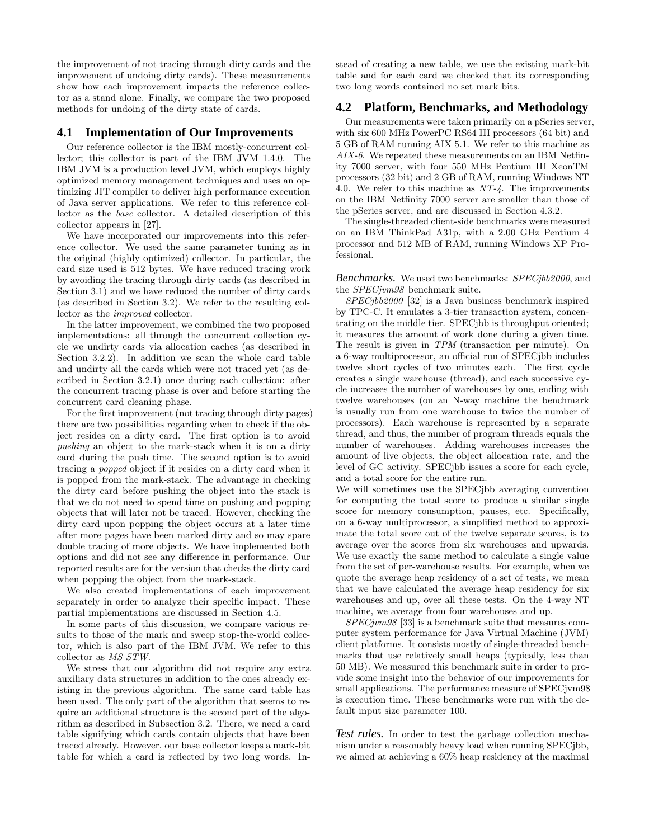the improvement of not tracing through dirty cards and the improvement of undoing dirty cards). These measurements show how each improvement impacts the reference collector as a stand alone. Finally, we compare the two proposed methods for undoing of the dirty state of cards.

## **4.1 Implementation of Our Improvements**

Our reference collector is the IBM mostly-concurrent collector; this collector is part of the IBM JVM 1.4.0. The IBM JVM is a production level JVM, which employs highly optimized memory management techniques and uses an optimizing JIT compiler to deliver high performance execution of Java server applications. We refer to this reference collector as the *base* collector. A detailed description of this collector appears in [27].

We have incorporated our improvements into this reference collector. We used the same parameter tuning as in the original (highly optimized) collector. In particular, the card size used is 512 bytes. We have reduced tracing work by avoiding the tracing through dirty cards (as described in Section 3.1) and we have reduced the number of dirty cards (as described in Section 3.2). We refer to the resulting collector as the *improved* collector.

In the latter improvement, we combined the two proposed implementations: all through the concurrent collection cycle we undirty cards via allocation caches (as described in Section 3.2.2). In addition we scan the whole card table and undirty all the cards which were not traced yet (as described in Section 3.2.1) once during each collection: after the concurrent tracing phase is over and before starting the concurrent card cleaning phase.

For the first improvement (not tracing through dirty pages) there are two possibilities regarding when to check if the object resides on a dirty card. The first option is to avoid *pushing* an object to the mark-stack when it is on a dirty card during the push time. The second option is to avoid tracing a *popped* object if it resides on a dirty card when it is popped from the mark-stack. The advantage in checking the dirty card before pushing the object into the stack is that we do not need to spend time on pushing and popping objects that will later not be traced. However, checking the dirty card upon popping the object occurs at a later time after more pages have been marked dirty and so may spare double tracing of more objects. We have implemented both options and did not see any difference in performance. Our reported results are for the version that checks the dirty card when popping the object from the mark-stack.

We also created implementations of each improvement separately in order to analyze their specific impact. These partial implementations are discussed in Section 4.5.

In some parts of this discussion, we compare various results to those of the mark and sweep stop-the-world collector, which is also part of the IBM JVM. We refer to this collector as *MS STW*.

We stress that our algorithm did not require any extra auxiliary data structures in addition to the ones already existing in the previous algorithm. The same card table has been used. The only part of the algorithm that seems to require an additional structure is the second part of the algorithm as described in Subsection 3.2. There, we need a card table signifying which cards contain objects that have been traced already. However, our base collector keeps a mark-bit table for which a card is reflected by two long words. Instead of creating a new table, we use the existing mark-bit table and for each card we checked that its corresponding two long words contained no set mark bits.

# **4.2 Platform, Benchmarks, and Methodology**

Our measurements were taken primarily on a pSeries server, with six 600 MHz PowerPC RS64 III processors (64 bit) and 5 GB of RAM running AIX 5.1. We refer to this machine as *AIX-6*. We repeated these measurements on an IBM Netfinity 7000 server, with four 550 MHz Pentium III XeonTM processors (32 bit) and 2 GB of RAM, running Windows NT 4.0. We refer to this machine as *NT-4*. The improvements on the IBM Netfinity 7000 server are smaller than those of the pSeries server, and are discussed in Section 4.3.2.

The single-threaded client-side benchmarks were measured on an IBM ThinkPad A31p, with a 2.00 GHz Pentium 4 processor and 512 MB of RAM, running Windows XP Professional.

*Benchmarks.* We used two benchmarks: *SPECjbb2000*, and the *SPECjvm98* benchmark suite.

*SPECjbb2000* [32] is a Java business benchmark inspired by TPC-C. It emulates a 3-tier transaction system, concentrating on the middle tier. SPECjbb is throughput oriented; it measures the amount of work done during a given time. The result is given in *TPM* (transaction per minute). On a 6-way multiprocessor, an official run of SPECjbb includes twelve short cycles of two minutes each. The first cycle creates a single warehouse (thread), and each successive cycle increases the number of warehouses by one, ending with twelve warehouses (on an N-way machine the benchmark is usually run from one warehouse to twice the number of processors). Each warehouse is represented by a separate thread, and thus, the number of program threads equals the number of warehouses. Adding warehouses increases the amount of live objects, the object allocation rate, and the level of GC activity. SPECjbb issues a score for each cycle, and a total score for the entire run.

We will sometimes use the SPECjbb averaging convention for computing the total score to produce a similar single score for memory consumption, pauses, etc. Specifically, on a 6-way multiprocessor, a simplified method to approximate the total score out of the twelve separate scores, is to average over the scores from six warehouses and upwards. We use exactly the same method to calculate a single value from the set of per-warehouse results. For example, when we quote the average heap residency of a set of tests, we mean that we have calculated the average heap residency for six warehouses and up, over all these tests. On the 4-way NT machine, we average from four warehouses and up.

*SPECjvm98* [33] is a benchmark suite that measures computer system performance for Java Virtual Machine (JVM) client platforms. It consists mostly of single-threaded benchmarks that use relatively small heaps (typically, less than 50 MB). We measured this benchmark suite in order to provide some insight into the behavior of our improvements for small applications. The performance measure of SPECjvm98 is execution time. These benchmarks were run with the default input size parameter 100.

*Test rules.* In order to test the garbage collection mechanism under a reasonably heavy load when running SPECjbb, we aimed at achieving a 60% heap residency at the maximal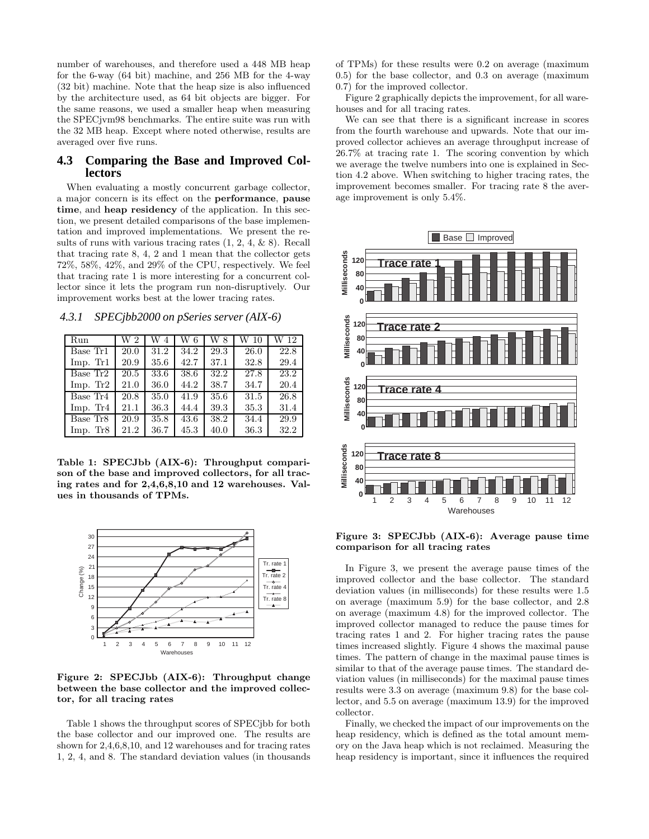number of warehouses, and therefore used a 448 MB heap for the 6-way (64 bit) machine, and 256 MB for the 4-way (32 bit) machine. Note that the heap size is also influenced by the architecture used, as 64 bit objects are bigger. For the same reasons, we used a smaller heap when measuring the SPECjvm98 benchmarks. The entire suite was run with the 32 MB heap. Except where noted otherwise, results are averaged over five runs.

# **4.3 Comparing the Base and Improved Collectors**

When evaluating a mostly concurrent garbage collector, a major concern is its effect on the **performance**, **pause time**, and **heap residency** of the application. In this section, we present detailed comparisons of the base implementation and improved implementations. We present the results of runs with various tracing rates (1, 2, 4, & 8). Recall that tracing rate 8, 4, 2 and 1 mean that the collector gets 72%, 58%, 42%, and 29% of the CPU, respectively. We feel that tracing rate 1 is more interesting for a concurrent collector since it lets the program run non-disruptively. Our improvement works best at the lower tracing rates.

|  |  | 4.3.1 SPECjbb2000 on pSeries server (AIX-6) |  |
|--|--|---------------------------------------------|--|
|--|--|---------------------------------------------|--|

| Run                  | W 2  | W 4  | W 6  | W 8  | W 10 | W 12 |
|----------------------|------|------|------|------|------|------|
| Base Tr1             | 20.0 | 31.2 | 34.2 | 29.3 | 26.0 | 22.8 |
| Imp. Tr1             | 20.9 | 35.6 | 42.7 | 37.1 | 32.8 | 29.4 |
| Base Tr <sub>2</sub> | 20.5 | 33.6 | 38.6 | 32.2 | 27.8 | 23.2 |
| Imp. Tr2             | 21.0 | 36.0 | 44.2 | 38.7 | 34.7 | 20.4 |
| Base Tr4             | 20.8 | 35.0 | 41.9 | 35.6 | 31.5 | 26.8 |
| Imp. Tr4             | 21.1 | 36.3 | 44.4 | 39.3 | 35.3 | 31.4 |
| Base Tr8             | 20.9 | 35.8 | 43.6 | 38.2 | 34.4 | 29.9 |
| Imp. Tr8             | 21.2 | 36.7 | 45.3 | 40.0 | 36.3 | 32.2 |

**Table 1: SPECJbb (AIX-6): Throughput comparison of the base and improved collectors, for all tracing rates and for 2,4,6,8,10 and 12 warehouses. Values in thousands of TPMs.**



**Figure 2: SPECJbb (AIX-6): Throughput change between the base collector and the improved collector, for all tracing rates**

Table 1 shows the throughput scores of SPECjbb for both the base collector and our improved one. The results are shown for 2,4,6,8,10, and 12 warehouses and for tracing rates 1, 2, 4, and 8. The standard deviation values (in thousands

of TPMs) for these results were 0*.*2 on average (maximum 0*.*5) for the base collector, and 0*.*3 on average (maximum 0*.*7) for the improved collector.

Figure 2 graphically depicts the improvement, for all warehouses and for all tracing rates.

We can see that there is a significant increase in scores from the fourth warehouse and upwards. Note that our improved collector achieves an average throughput increase of 26.7% at tracing rate 1. The scoring convention by which we average the twelve numbers into one is explained in Section 4.2 above. When switching to higher tracing rates, the improvement becomes smaller. For tracing rate 8 the average improvement is only 5.4%.



**Figure 3: SPECJbb (AIX-6): Average pause time comparison for all tracing rates**

In Figure 3, we present the average pause times of the improved collector and the base collector. The standard deviation values (in milliseconds) for these results were 1*.*5 on average (maximum 5*.*9) for the base collector, and 2*.*8 on average (maximum 4*.*8) for the improved collector. The improved collector managed to reduce the pause times for tracing rates 1 and 2. For higher tracing rates the pause times increased slightly. Figure 4 shows the maximal pause times. The pattern of change in the maximal pause times is similar to that of the average pause times. The standard deviation values (in milliseconds) for the maximal pause times results were 3*.*3 on average (maximum 9*.*8) for the base collector, and 5*.*5 on average (maximum 13*.*9) for the improved collector.

Finally, we checked the impact of our improvements on the heap residency, which is defined as the total amount memory on the Java heap which is not reclaimed. Measuring the heap residency is important, since it influences the required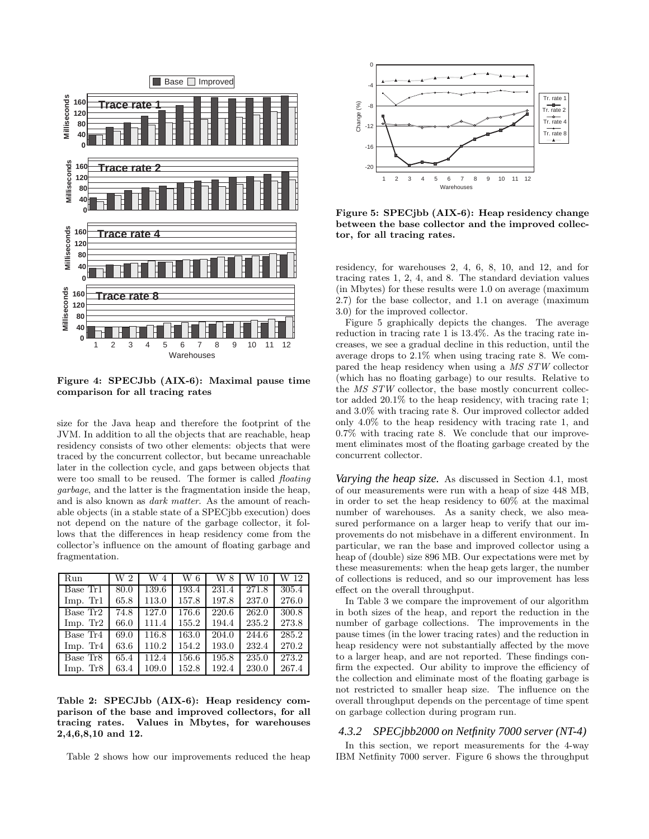

**Figure 4: SPECJbb (AIX-6): Maximal pause time comparison for all tracing rates**

size for the Java heap and therefore the footprint of the JVM. In addition to all the objects that are reachable, heap residency consists of two other elements: objects that were traced by the concurrent collector, but became unreachable later in the collection cycle, and gaps between objects that were too small to be reused. The former is called *floating garbage*, and the latter is the fragmentation inside the heap, and is also known as *dark matter*. As the amount of reachable objects (in a stable state of a SPECjbb execution) does not depend on the nature of the garbage collector, it follows that the differences in heap residency come from the collector's influence on the amount of floating garbage and fragmentation.

| Run        | W 2  | W 4   | W 6   | W 8   | W 10  | W 12  |
|------------|------|-------|-------|-------|-------|-------|
| Base Tr1   | 80.0 | 139.6 | 193.4 | 231.4 | 271.8 | 305.4 |
| Imp. Tr1   | 65.8 | 113.0 | 157.8 | 197.8 | 237.0 | 276.0 |
| Base $T1$  | 74.8 | 127.0 | 176.6 | 220.6 | 262.0 | 300.8 |
| Imp. Tr2   | 66.0 | 111.4 | 155.2 | 194.4 | 235.2 | 273.8 |
| Base Tr4   | 69.0 | 116.8 | 163.0 | 204.0 | 244.6 | 285.2 |
| Imp. $Tr4$ | 63.6 | 110.2 | 154.2 | 193.0 | 232.4 | 270.2 |
| Base Tr8   | 65.4 | 112.4 | 156.6 | 195.8 | 235.0 | 273.2 |
| Imp. Tr8   | 63.4 | 109.0 | 152.8 | 192.4 | 230.0 | 267.4 |

**Table 2: SPECJbb (AIX-6): Heap residency comparison of the base and improved collectors, for all tracing rates. Values in Mbytes, for warehouses 2,4,6,8,10 and 12.**

Table 2 shows how our improvements reduced the heap



**Figure 5: SPECjbb (AIX-6): Heap residency change between the base collector and the improved collector, for all tracing rates.**

residency, for warehouses 2, 4, 6, 8, 10, and 12, and for tracing rates 1, 2, 4, and 8. The standard deviation values (in Mbytes) for these results were 1*.*0 on average (maximum 2*.*7) for the base collector, and 1*.*1 on average (maximum 3*.*0) for the improved collector.

Figure 5 graphically depicts the changes. The average reduction in tracing rate 1 is  $13.4\%$ . As the tracing rate increases, we see a gradual decline in this reduction, until the average drops to 2.1% when using tracing rate 8. We compared the heap residency when using a *MS STW* collector (which has no floating garbage) to our results. Relative to the *MS STW* collector, the base mostly concurrent collector added 20.1% to the heap residency, with tracing rate 1; and 3.0% with tracing rate 8. Our improved collector added only 4.0% to the heap residency with tracing rate 1, and 0.7% with tracing rate 8. We conclude that our improvement eliminates most of the floating garbage created by the concurrent collector.

*Varying the heap size.* As discussed in Section 4.1, most of our measurements were run with a heap of size 448 MB, in order to set the heap residency to 60% at the maximal number of warehouses. As a sanity check, we also measured performance on a larger heap to verify that our improvements do not misbehave in a different environment. In particular, we ran the base and improved collector using a heap of (double) size 896 MB. Our expectations were met by these measurements: when the heap gets larger, the number of collections is reduced, and so our improvement has less effect on the overall throughput.

In Table 3 we compare the improvement of our algorithm in both sizes of the heap, and report the reduction in the number of garbage collections. The improvements in the pause times (in the lower tracing rates) and the reduction in heap residency were not substantially affected by the move to a larger heap, and are not reported. These findings confirm the expected. Our ability to improve the efficiency of the collection and eliminate most of the floating garbage is not restricted to smaller heap size. The influence on the overall throughput depends on the percentage of time spent on garbage collection during program run.

#### *4.3.2 SPECjbb2000 on Netfinity 7000 server (NT-4)*

In this section, we report measurements for the 4-way IBM Netfinity 7000 server. Figure 6 shows the throughput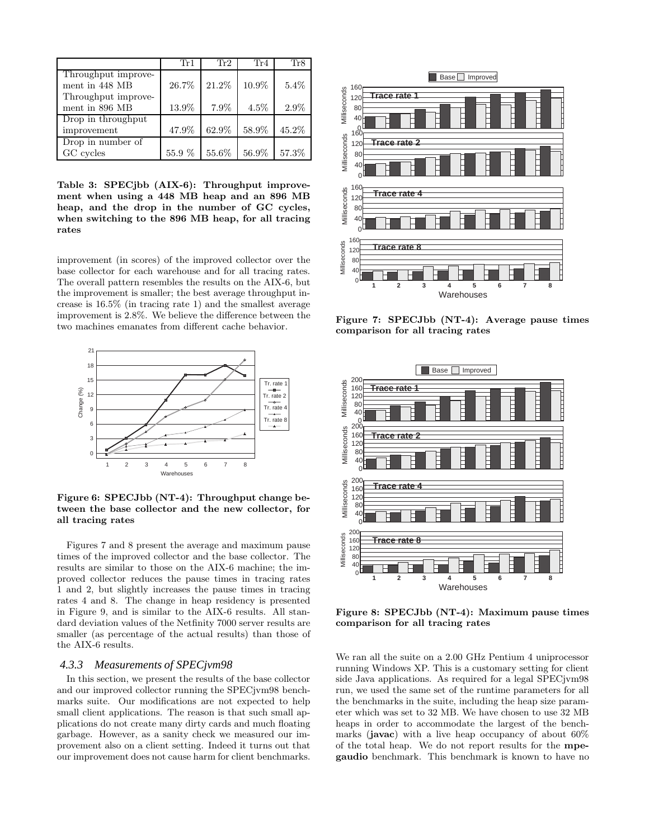|                     | Tr1       | Tr2   | Tr4     | Tr8     |
|---------------------|-----------|-------|---------|---------|
| Throughput improve- |           |       |         |         |
| ment in 448 MB      | 26.7%     | 21.2% | 10.9%   | $5.4\%$ |
| Throughput improve- |           |       |         |         |
| ment in 896 MB      | 13.9%     | 7.9%  | $4.5\%$ | $2.9\%$ |
| Drop in throughput  |           |       |         |         |
| improvement         | 47.9%     | 62.9% | 58.9%   | 45.2%   |
| Drop in number of   |           |       |         |         |
| GC cycles           | $55.9~\%$ | 55.6% | 56.9%   | 57.3%   |

**Table 3: SPECjbb (AIX-6): Throughput improvement when using a 448 MB heap and an 896 MB heap, and the drop in the number of GC cycles, when switching to the 896 MB heap, for all tracing rates**

improvement (in scores) of the improved collector over the base collector for each warehouse and for all tracing rates. The overall pattern resembles the results on the AIX-6, but the improvement is smaller; the best average throughput increase is 16.5% (in tracing rate 1) and the smallest average improvement is 2.8%. We believe the difference between the two machines emanates from different cache behavior.



**Figure 6: SPECJbb (NT-4): Throughput change between the base collector and the new collector, for all tracing rates**

Figures 7 and 8 present the average and maximum pause times of the improved collector and the base collector. The results are similar to those on the AIX-6 machine; the improved collector reduces the pause times in tracing rates 1 and 2, but slightly increases the pause times in tracing rates 4 and 8. The change in heap residency is presented in Figure 9, and is similar to the AIX-6 results. All standard deviation values of the Netfinity 7000 server results are smaller (as percentage of the actual results) than those of the AIX-6 results.

#### *4.3.3 Measurements of SPECjvm98*

In this section, we present the results of the base collector and our improved collector running the SPECjvm98 benchmarks suite. Our modifications are not expected to help small client applications. The reason is that such small applications do not create many dirty cards and much floating garbage. However, as a sanity check we measured our improvement also on a client setting. Indeed it turns out that our improvement does not cause harm for client benchmarks.



**Figure 7: SPECJbb (NT-4): Average pause times comparison for all tracing rates**



**Figure 8: SPECJbb (NT-4): Maximum pause times comparison for all tracing rates**

We ran all the suite on a 2.00 GHz Pentium 4 uniprocessor running Windows XP. This is a customary setting for client side Java applications. As required for a legal SPECjvm98 run, we used the same set of the runtime parameters for all the benchmarks in the suite, including the heap size parameter which was set to 32 MB. We have chosen to use 32 MB heaps in order to accommodate the largest of the benchmarks (**javac**) with a live heap occupancy of about 60% of the total heap. We do not report results for the **mpegaudio** benchmark. This benchmark is known to have no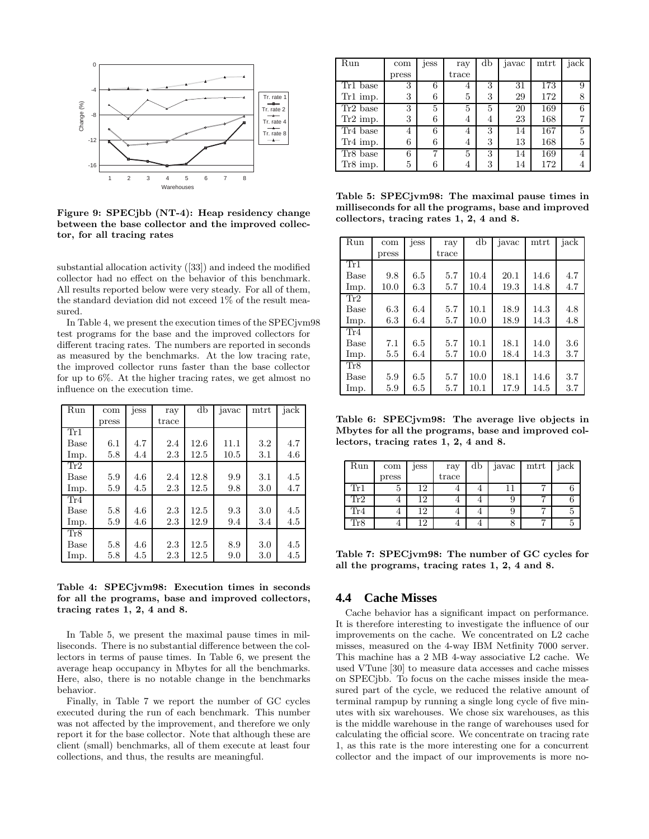

**Figure 9: SPECjbb (NT-4): Heap residency change between the base collector and the improved collector, for all tracing rates**

substantial allocation activity ([33]) and indeed the modified collector had no effect on the behavior of this benchmark. All results reported below were very steady. For all of them, the standard deviation did not exceed 1% of the result measured.

In Table 4, we present the execution times of the SPECjvm98 test programs for the base and the improved collectors for different tracing rates. The numbers are reported in seconds as measured by the benchmarks. At the low tracing rate, the improved collector runs faster than the base collector for up to 6%. At the higher tracing rates, we get almost no influence on the execution time.

| Run  | com   | jess | ray   | db   | javac | mtrt | jack |
|------|-------|------|-------|------|-------|------|------|
|      | press |      | trace |      |       |      |      |
| Tr1  |       |      |       |      |       |      |      |
| Base | 6.1   | 4.7  | 2.4   | 12.6 | 11.1  | 3.2  | 4.7  |
| Imp. | 5.8   | 4.4  | 2.3   | 12.5 | 10.5  | 3.1  | 4.6  |
| Tr2  |       |      |       |      |       |      |      |
| Base | 5.9   | 4.6  | 2.4   | 12.8 | 9.9   | 3.1  | 4.5  |
| Imp. | 5.9   | 4.5  | 2.3   | 12.5 | 9.8   | 3.0  | 4.7  |
| Tr4  |       |      |       |      |       |      |      |
| Base | 5.8   | 4.6  | 2.3   | 12.5 | 9.3   | 3.0  | 4.5  |
| Imp. | 5.9   | 4.6  | 2.3   | 12.9 | 9.4   | 3.4  | 4.5  |
| Tr8  |       |      |       |      |       |      |      |
| Base | 5.8   | 4.6  | 2.3   | 12.5 | 8.9   | 3.0  | 4.5  |
| Imp. | 5.8   | 4.5  | 2.3   | 12.5 | 9.0   | 3.0  | 4.5  |

**Table 4: SPECjvm98: Execution times in seconds for all the programs, base and improved collectors, tracing rates 1, 2, 4 and 8.**

In Table 5, we present the maximal pause times in milliseconds. There is no substantial difference between the collectors in terms of pause times. In Table 6, we present the average heap occupancy in Mbytes for all the benchmarks. Here, also, there is no notable change in the benchmarks behavior.

Finally, in Table 7 we report the number of GC cycles executed during the run of each benchmark. This number was not affected by the improvement, and therefore we only report it for the base collector. Note that although these are client (small) benchmarks, all of them execute at least four collections, and thus, the results are meaningful.

| $\overline{\text{Run}}$ | com   | jess | ray            | db | javac | mtrt | jack |
|-------------------------|-------|------|----------------|----|-------|------|------|
|                         | press |      | trace          |    |       |      |      |
| Tr1 base                | 3     | 6    | 4              | 3  | 31    | 173  | 9    |
| Tr1 imp.                | 3     | 6    | 5              | 3  | 29    | 172  | 8    |
| Tr <sub>2</sub> base    | 3     | 5    | 5              | 5  | 20    | 169  | 6    |
| Tr2 imp.                | 3     | 6    | 4              | 4  | 23    | 168  |      |
| Tr <sub>4</sub> base    | 4     | 6    | 4              | 3  | 14    | 167  | 5    |
| Tr4 imp.                | 6     | 6    | $\overline{4}$ | 3  | 13    | 168  | 5    |
| Tr8 base                | 6     |      | 5              | 3  | 14    | 169  |      |
| Tr8 imp.                | 5     | 6    |                | 3  | 14    | 172  |      |

**Table 5: SPECjvm98: The maximal pause times in milliseconds for all the programs, base and improved collectors, tracing rates 1, 2, 4 and 8.**

| Run  | com   | jess | ray   | db   | javac | mtrt | jack |
|------|-------|------|-------|------|-------|------|------|
|      | press |      | trace |      |       |      |      |
| Tr1  |       |      |       |      |       |      |      |
| Base | 9.8   | 6.5  | 5.7   | 10.4 | 20.1  | 14.6 | 4.7  |
| Imp. | 10.0  | 6.3  | 5.7   | 10.4 | 19.3  | 14.8 | 4.7  |
| Tr2  |       |      |       |      |       |      |      |
| Base | 6.3   | 6.4  | 5.7   | 10.1 | 18.9  | 14.3 | 4.8  |
| Imp. | 6.3   | 6.4  | 5.7   | 10.0 | 18.9  | 14.3 | 4.8  |
| Tr4  |       |      |       |      |       |      |      |
| Base | 7.1   | 6.5  | 5.7   | 10.1 | 18.1  | 14.0 | 3.6  |
| Imp. | 5.5   | 6.4  | 5.7   | 10.0 | 18.4  | 14.3 | 3.7  |
| Tr8  |       |      |       |      |       |      |      |
| Base | 5.9   | 6.5  | 5.7   | 10.0 | 18.1  | 14.6 | 3.7  |
| Imp. | 5.9   | 6.5  | 5.7   | 10.1 | 17.9  | 14.5 | 3.7  |

**Table 6: SPECjvm98: The average live objects in Mbytes for all the programs, base and improved collectors, tracing rates 1, 2, 4 and 8.**

| Run                  | com   | jess | ray   | db | javac | mtrt | jack |
|----------------------|-------|------|-------|----|-------|------|------|
|                      | press |      | trace |    |       |      |      |
| $\operatorname{Tr}1$ | Ð     | 12   |       |    |       |      |      |
| Tr2                  |       | 12   |       |    |       |      |      |
| Tr4                  |       | 12   | 4     |    |       |      |      |
| ${\rm Tr} 8$         |       | 12   |       |    |       |      |      |

**Table 7: SPECjvm98: The number of GC cycles for all the programs, tracing rates 1, 2, 4 and 8.**

#### **4.4 Cache Misses**

Cache behavior has a significant impact on performance. It is therefore interesting to investigate the influence of our improvements on the cache. We concentrated on L2 cache misses, measured on the 4-way IBM Netfinity 7000 server. This machine has a 2 MB 4-way associative L2 cache. We used VTune [30] to measure data accesses and cache misses on SPECjbb. To focus on the cache misses inside the measured part of the cycle, we reduced the relative amount of terminal rampup by running a single long cycle of five minutes with six warehouses. We chose six warehouses, as this is the middle warehouse in the range of warehouses used for calculating the official score. We concentrate on tracing rate 1, as this rate is the more interesting one for a concurrent collector and the impact of our improvements is more no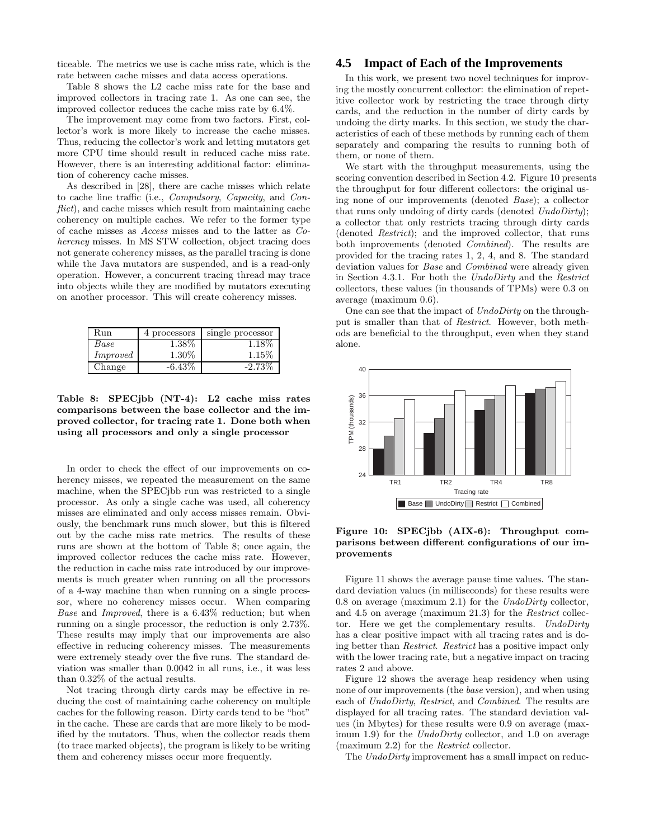ticeable. The metrics we use is cache miss rate, which is the rate between cache misses and data access operations.

Table 8 shows the L2 cache miss rate for the base and improved collectors in tracing rate 1. As one can see, the improved collector reduces the cache miss rate by 6.4%.

The improvement may come from two factors. First, collector's work is more likely to increase the cache misses. Thus, reducing the collector's work and letting mutators get more CPU time should result in reduced cache miss rate. However, there is an interesting additional factor: elimination of coherency cache misses.

As described in [28], there are cache misses which relate to cache line traffic (i.e., *Compulsory*, *Capacity*, and *Conflict*), and cache misses which result from maintaining cache coherency on multiple caches. We refer to the former type of cache misses as *Access* misses and to the latter as *Coherency* misses. In MS STW collection, object tracing does not generate coherency misses, as the parallel tracing is done while the Java mutators are suspended, and is a read-only operation. However, a concurrent tracing thread may trace into objects while they are modified by mutators executing on another processor. This will create coherency misses.

| Run       | 4 processors | single processor |
|-----------|--------------|------------------|
| $_{Base}$ | $1.38\%$     | 1.18%            |
| Improved  | 1.30%        | 1.15\%           |
| Change    | $-6.43\%$    | -2.73%           |

**Table 8: SPECjbb (NT-4): L2 cache miss rates comparisons between the base collector and the improved collector, for tracing rate 1. Done both when using all processors and only a single processor**

In order to check the effect of our improvements on coherency misses, we repeated the measurement on the same machine, when the SPECjbb run was restricted to a single processor. As only a single cache was used, all coherency misses are eliminated and only access misses remain. Obviously, the benchmark runs much slower, but this is filtered out by the cache miss rate metrics. The results of these runs are shown at the bottom of Table 8; once again, the improved collector reduces the cache miss rate. However, the reduction in cache miss rate introduced by our improvements is much greater when running on all the processors of a 4-way machine than when running on a single processor, where no coherency misses occur. When comparing *Base* and *Improved*, there is a 6.43% reduction; but when running on a single processor, the reduction is only 2.73%. These results may imply that our improvements are also effective in reducing coherency misses. The measurements were extremely steady over the five runs. The standard deviation was smaller than 0.0042 in all runs, i.e., it was less than 0.32% of the actual results.

Not tracing through dirty cards may be effective in reducing the cost of maintaining cache coherency on multiple caches for the following reason. Dirty cards tend to be "hot" in the cache. These are cards that are more likely to be modified by the mutators. Thus, when the collector reads them (to trace marked objects), the program is likely to be writing them and coherency misses occur more frequently.

# **4.5 Impact of Each of the Improvements**

In this work, we present two novel techniques for improving the mostly concurrent collector: the elimination of repetitive collector work by restricting the trace through dirty cards, and the reduction in the number of dirty cards by undoing the dirty marks. In this section, we study the characteristics of each of these methods by running each of them separately and comparing the results to running both of them, or none of them.

We start with the throughput measurements, using the scoring convention described in Section 4.2. Figure 10 presents the throughput for four different collectors: the original using none of our improvements (denoted *Base*); a collector that runs only undoing of dirty cards (denoted *UndoDirty*); a collector that only restricts tracing through dirty cards (denoted *Restrict*); and the improved collector, that runs both improvements (denoted *Combined*). The results are provided for the tracing rates 1, 2, 4, and 8. The standard deviation values for *Base* and *Combined* were already given in Section 4.3.1. For both the *UndoDirty* and the *Restrict* collectors, these values (in thousands of TPMs) were 0*.*3 on average (maximum 0*.*6).

One can see that the impact of *UndoDirty* on the throughput is smaller than that of *Restrict*. However, both methods are beneficial to the throughput, even when they stand alone.



**Figure 10: SPECjbb (AIX-6): Throughput comparisons between different configurations of our improvements**

Figure 11 shows the average pause time values. The standard deviation values (in milliseconds) for these results were 0*.*8 on average (maximum 2*.*1) for the *UndoDirty* collector, and 4*.*5 on average (maximum 21*.*3) for the *Restrict* collector. Here we get the complementary results. *UndoDirty* has a clear positive impact with all tracing rates and is doing better than *Restrict*. *Restrict* has a positive impact only with the lower tracing rate, but a negative impact on tracing rates 2 and above.

Figure 12 shows the average heap residency when using none of our improvements (the *base* version), and when using each of *UndoDirty*, *Restrict*, and *Combined*. The results are displayed for all tracing rates. The standard deviation values (in Mbytes) for these results were 0*.*9 on average (maximum 1*.*9) for the *UndoDirty* collector, and 1*.*0 on average (maximum 2*.*2) for the *Restrict* collector.

The *UndoDirty* improvement has a small impact on reduc-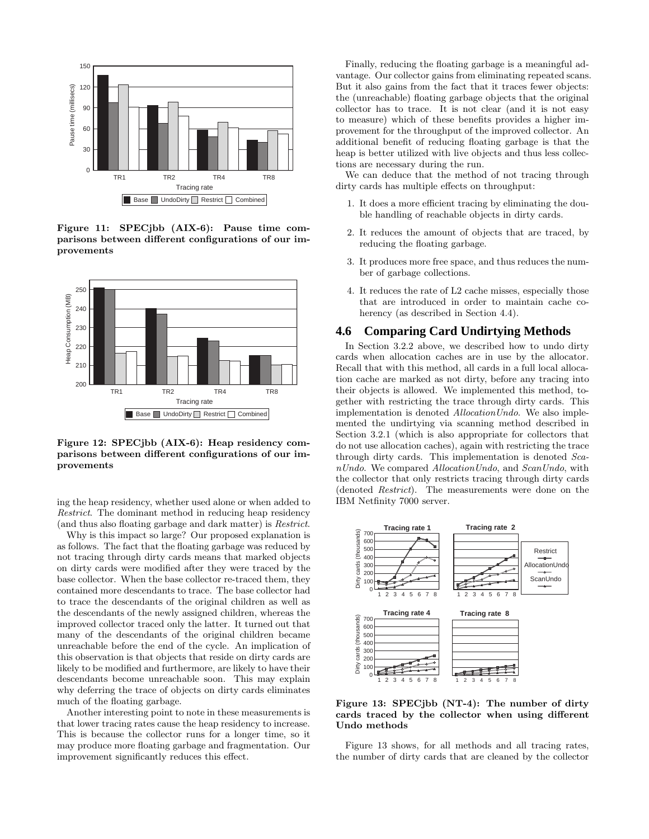

**Figure 11: SPECjbb (AIX-6): Pause time comparisons between different configurations of our improvements**



**Figure 12: SPECjbb (AIX-6): Heap residency comparisons between different configurations of our improvements**

ing the heap residency, whether used alone or when added to *Restrict*. The dominant method in reducing heap residency (and thus also floating garbage and dark matter) is *Restrict*.

Why is this impact so large? Our proposed explanation is as follows. The fact that the floating garbage was reduced by not tracing through dirty cards means that marked objects on dirty cards were modified after they were traced by the base collector. When the base collector re-traced them, they contained more descendants to trace. The base collector had to trace the descendants of the original children as well as the descendants of the newly assigned children, whereas the improved collector traced only the latter. It turned out that many of the descendants of the original children became unreachable before the end of the cycle. An implication of this observation is that objects that reside on dirty cards are likely to be modified and furthermore, are likely to have their descendants become unreachable soon. This may explain why deferring the trace of objects on dirty cards eliminates much of the floating garbage.

Another interesting point to note in these measurements is that lower tracing rates cause the heap residency to increase. This is because the collector runs for a longer time, so it may produce more floating garbage and fragmentation. Our improvement significantly reduces this effect.

Finally, reducing the floating garbage is a meaningful advantage. Our collector gains from eliminating repeated scans. But it also gains from the fact that it traces fewer objects: the (unreachable) floating garbage objects that the original collector has to trace. It is not clear (and it is not easy to measure) which of these benefits provides a higher improvement for the throughput of the improved collector. An additional benefit of reducing floating garbage is that the heap is better utilized with live objects and thus less collections are necessary during the run.

We can deduce that the method of not tracing through dirty cards has multiple effects on throughput:

- 1. It does a more efficient tracing by eliminating the double handling of reachable objects in dirty cards.
- 2. It reduces the amount of objects that are traced, by reducing the floating garbage.
- 3. It produces more free space, and thus reduces the number of garbage collections.
- 4. It reduces the rate of L2 cache misses, especially those that are introduced in order to maintain cache coherency (as described in Section 4.4).

## **4.6 Comparing Card Undirtying Methods**

In Section 3.2.2 above, we described how to undo dirty cards when allocation caches are in use by the allocator. Recall that with this method, all cards in a full local allocation cache are marked as not dirty, before any tracing into their objects is allowed. We implemented this method, together with restricting the trace through dirty cards. This implementation is denoted *AllocationUndo*. We also implemented the undirtying via scanning method described in Section 3.2.1 (which is also appropriate for collectors that do not use allocation caches), again with restricting the trace through dirty cards. This implementation is denoted *ScanUndo*. We compared *AllocationUndo*, and *ScanUndo*, with the collector that only restricts tracing through dirty cards (denoted *Restrict*). The measurements were done on the IBM Netfinity 7000 server.



**Figure 13: SPECjbb (NT-4): The number of dirty cards traced by the collector when using different Undo methods**

Figure 13 shows, for all methods and all tracing rates, the number of dirty cards that are cleaned by the collector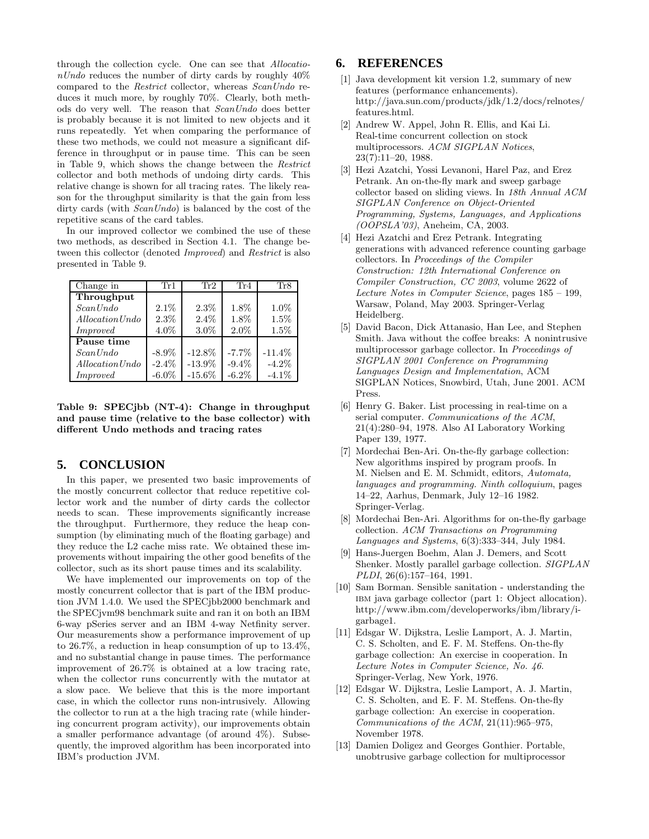through the collection cycle. One can see that *AllocationUndo* reduces the number of dirty cards by roughly 40% compared to the *Restrict* collector, whereas *ScanUndo* reduces it much more, by roughly 70%. Clearly, both methods do very well. The reason that *ScanUndo* does better is probably because it is not limited to new objects and it runs repeatedly. Yet when comparing the performance of these two methods, we could not measure a significant difference in throughput or in pause time. This can be seen in Table 9, which shows the change between the *Restrict* collector and both methods of undoing dirty cards. This relative change is shown for all tracing rates. The likely reason for the throughput similarity is that the gain from less dirty cards (with *ScanUndo*) is balanced by the cost of the repetitive scans of the card tables.

In our improved collector we combined the use of these two methods, as described in Section 4.1. The change between this collector (denoted *Improved*) and *Restrict* is also presented in Table 9.

| Change in         | Tr1      | Tr2      | Tr4      | Tr8      |
|-------------------|----------|----------|----------|----------|
| Throughput        |          |          |          |          |
| Scan Undo         | $2.1\%$  | 2.3%     | 1.8%     | $1.0\%$  |
| $Allocation$ Undo | $2.3\%$  | 2.4%     | 1.8%     | 1.5%     |
| <i>Improved</i>   | $4.0\%$  | $3.0\%$  | 2.0%     | 1.5%     |
| Pause time        |          |          |          |          |
| Scan Undo         | $-8.9\%$ | $-12.8%$ | $-7.7\%$ | $-11.4%$ |
| $Allocation$ Undo | $-2.4\%$ | $-13.9%$ | $-9.4\%$ | $-4.2\%$ |
| <i>Improved</i>   | $-6.0\%$ | $-15.6%$ | $-6.2\%$ | $-4.1\%$ |

**Table 9: SPECjbb (NT-4): Change in throughput and pause time (relative to the base collector) with different Undo methods and tracing rates**

# **5. CONCLUSION**

In this paper, we presented two basic improvements of the mostly concurrent collector that reduce repetitive collector work and the number of dirty cards the collector needs to scan. These improvements significantly increase the throughput. Furthermore, they reduce the heap consumption (by eliminating much of the floating garbage) and they reduce the L2 cache miss rate. We obtained these improvements without impairing the other good benefits of the collector, such as its short pause times and its scalability.

We have implemented our improvements on top of the mostly concurrent collector that is part of the IBM production JVM 1.4.0. We used the SPECjbb2000 benchmark and the SPECjvm98 benchmark suite and ran it on both an IBM 6-way pSeries server and an IBM 4-way Netfinity server. Our measurements show a performance improvement of up to 26.7%, a reduction in heap consumption of up to 13.4%, and no substantial change in pause times. The performance improvement of 26.7% is obtained at a low tracing rate, when the collector runs concurrently with the mutator at a slow pace. We believe that this is the more important case, in which the collector runs non-intrusively. Allowing the collector to run at a the high tracing rate (while hindering concurrent program activity), our improvements obtain a smaller performance advantage (of around 4%). Subsequently, the improved algorithm has been incorporated into IBM's production JVM.

# **6. REFERENCES**

- [1] Java development kit version 1.2, summary of new features (performance enhancements). http://java.sun.com/products/jdk/1.2/docs/relnotes/ features.html.
- [2] Andrew W. Appel, John R. Ellis, and Kai Li. Real-time concurrent collection on stock multiprocessors. *ACM SIGPLAN Notices*, 23(7):11–20, 1988.
- [3] Hezi Azatchi, Yossi Levanoni, Harel Paz, and Erez Petrank. An on-the-fly mark and sweep garbage collector based on sliding views. In *18th Annual ACM SIGPLAN Conference on Object-Oriented Programming, Systems, Languages, and Applications (OOPSLA'03)*, Aneheim, CA, 2003.
- [4] Hezi Azatchi and Erez Petrank. Integrating generations with advanced reference counting garbage collectors. In *Proceedings of the Compiler Construction: 12th International Conference on Compiler Construction, CC 2003*, volume 2622 of *Lecture Notes in Computer Science*, pages 185 – 199, Warsaw, Poland, May 2003. Springer-Verlag Heidelberg.
- [5] David Bacon, Dick Attanasio, Han Lee, and Stephen Smith. Java without the coffee breaks: A nonintrusive multiprocessor garbage collector. In *Proceedings of SIGPLAN 2001 Conference on Programming Languages Design and Implementation*, ACM SIGPLAN Notices, Snowbird, Utah, June 2001. ACM Press.
- [6] Henry G. Baker. List processing in real-time on a serial computer. *Communications of the ACM*, 21(4):280–94, 1978. Also AI Laboratory Working Paper 139, 1977.
- [7] Mordechai Ben-Ari. On-the-fly garbage collection: New algorithms inspired by program proofs. In M. Nielsen and E. M. Schmidt, editors, *Automata, languages and programming. Ninth colloquium*, pages 14–22, Aarhus, Denmark, July 12–16 1982. Springer-Verlag.
- [8] Mordechai Ben-Ari. Algorithms for on-the-fly garbage collection. *ACM Transactions on Programming Languages and Systems*, 6(3):333–344, July 1984.
- [9] Hans-Juergen Boehm, Alan J. Demers, and Scott Shenker. Mostly parallel garbage collection. *SIGPLAN PLDI*, 26(6):157–164, 1991.
- [10] Sam Borman. Sensible sanitation understanding the ibm java garbage collector (part 1: Object allocation). http://www.ibm.com/developerworks/ibm/library/igarbage1.
- [11] Edsgar W. Dijkstra, Leslie Lamport, A. J. Martin, C. S. Scholten, and E. F. M. Steffens. On-the-fly garbage collection: An exercise in cooperation. In *Lecture Notes in Computer Science, No. 46*. Springer-Verlag, New York, 1976.
- [12] Edsgar W. Dijkstra, Leslie Lamport, A. J. Martin, C. S. Scholten, and E. F. M. Steffens. On-the-fly garbage collection: An exercise in cooperation. *Communications of the ACM*, 21(11):965–975, November 1978.
- [13] Damien Doligez and Georges Gonthier. Portable, unobtrusive garbage collection for multiprocessor